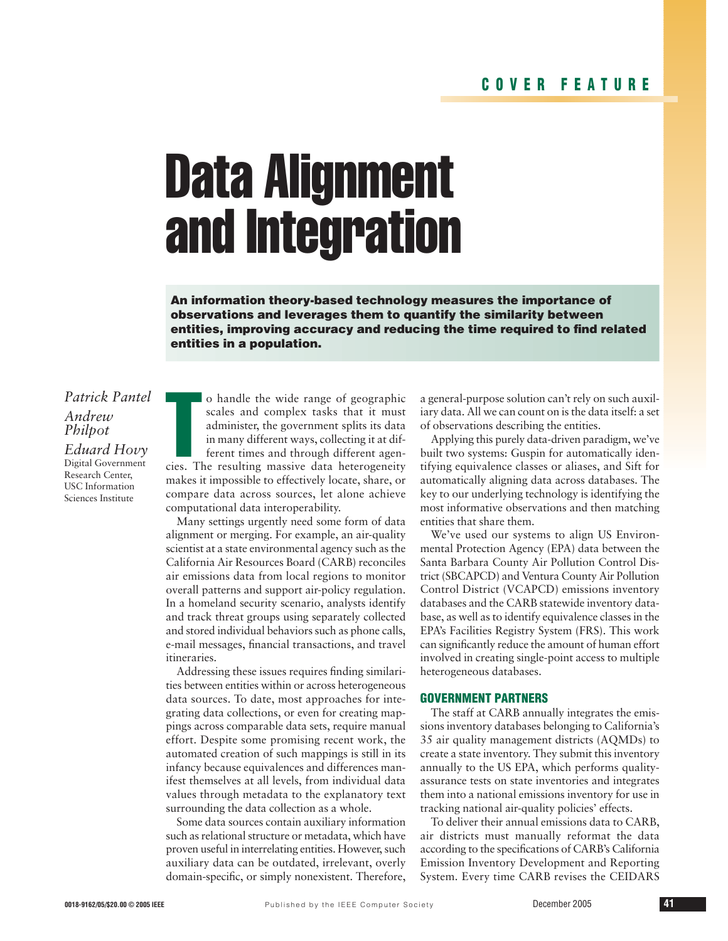### **COVER FEATURE**

# Data Alignment and Integration

**An information theory-based technology measures the importance of observations and leverages them to quantify the similarity between entities, improving accuracy and reducing the time required to find related entities in a population.** 

## *Patrick Pantel Andrew Philpot*

*Eduard Hovy* Digital Government Research Center, USC Information Sciences Institute

o handle the wide range of geographic<br>scales and complex tasks that it must<br>administer, the government splits its data<br>in many different ways, collecting it at dif-<br>ferent times and through different agen-<br>cies. The result o handle the wide range of geographic scales and complex tasks that it must administer, the government splits its data in many different ways, collecting it at different times and through different agenmakes it impossible to effectively locate, share, or compare data across sources, let alone achieve computational data interoperability.

Many settings urgently need some form of data alignment or merging. For example, an air-quality scientist at a state environmental agency such as the California Air Resources Board (CARB) reconciles air emissions data from local regions to monitor overall patterns and support air-policy regulation. In a homeland security scenario, analysts identify and track threat groups using separately collected and stored individual behaviors such as phone calls, e-mail messages, financial transactions, and travel itineraries.

Addressing these issues requires finding similarities between entities within or across heterogeneous data sources. To date, most approaches for integrating data collections, or even for creating mappings across comparable data sets, require manual effort. Despite some promising recent work, the automated creation of such mappings is still in its infancy because equivalences and differences manifest themselves at all levels, from individual data values through metadata to the explanatory text surrounding the data collection as a whole.

Some data sources contain auxiliary information such as relational structure or metadata, which have proven useful in interrelating entities. However, such auxiliary data can be outdated, irrelevant, overly domain-specific, or simply nonexistent. Therefore, a general-purpose solution can't rely on such auxiliary data. All we can count on is the data itself: a set of observations describing the entities.

Applying this purely data-driven paradigm, we've built two systems: Guspin for automatically identifying equivalence classes or aliases, and Sift for automatically aligning data across databases. The key to our underlying technology is identifying the most informative observations and then matching entities that share them.

We've used our systems to align US Environmental Protection Agency (EPA) data between the Santa Barbara County Air Pollution Control District (SBCAPCD) and Ventura County Air Pollution Control District (VCAPCD) emissions inventory databases and the CARB statewide inventory database, as well as to identify equivalence classes in the EPA's Facilities Registry System (FRS). This work can significantly reduce the amount of human effort involved in creating single-point access to multiple heterogeneous databases.

#### **GOVERNMENT PARTNERS**

The staff at CARB annually integrates the emissions inventory databases belonging to California's 35 air quality management districts (AQMDs) to create a state inventory. They submit this inventory annually to the US EPA, which performs qualityassurance tests on state inventories and integrates them into a national emissions inventory for use in tracking national air-quality policies' effects.

To deliver their annual emissions data to CARB, air districts must manually reformat the data according to the specifications of CARB's California Emission Inventory Development and Reporting System. Every time CARB revises the CEIDARS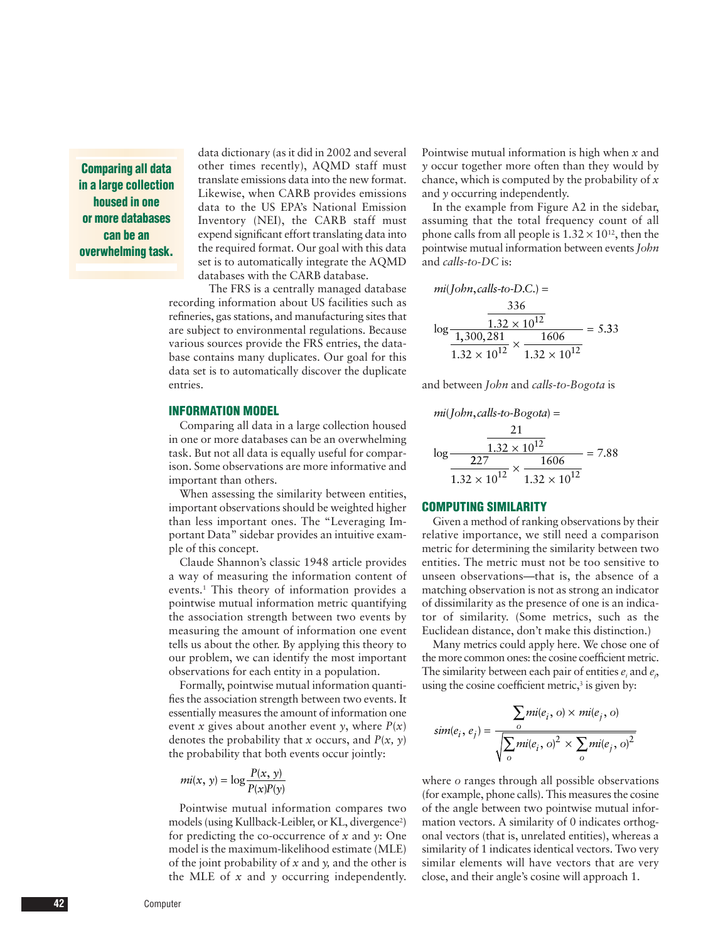**Comparing all data in a large collection housed in one or more databases can be an overwhelming task.**

data dictionary (as it did in 2002 and several other times recently), AQMD staff must translate emissions data into the new format. Likewise, when CARB provides emissions data to the US EPA's National Emission Inventory (NEI), the CARB staff must expend significant effort translating data into the required format. Our goal with this data set is to automatically integrate the AQMD databases with the CARB database.

The FRS is a centrally managed database recording information about US facilities such as refineries, gas stations, and manufacturing sites that are subject to environmental regulations. Because various sources provide the FRS entries, the database contains many duplicates. Our goal for this data set is to automatically discover the duplicate entries.

#### **INFORMATION MODEL**

Comparing all data in a large collection housed in one or more databases can be an overwhelming task. But not all data is equally useful for comparison. Some observations are more informative and important than others.

When assessing the similarity between entities, important observations should be weighted higher than less important ones. The "Leveraging Important Data" sidebar provides an intuitive example of this concept.

Claude Shannon's classic 1948 article provides a way of measuring the information content of events.1 This theory of information provides a pointwise mutual information metric quantifying the association strength between two events by measuring the amount of information one event tells us about the other. By applying this theory to our problem, we can identify the most important observations for each entity in a population.

Formally, pointwise mutual information quantifies the association strength between two events. It essentially measures the amount of information one event *x* gives about another event *y*, where  $P(x)$ denotes the probability that *x* occurs, and *P*(*x, y*) the probability that both events occur jointly:

$$
mi(x, y) = \log \frac{P(x, y)}{P(x)P(y)}
$$

Pointwise mutual information compares two models (using Kullback-Leibler, or KL, divergence<sup>2</sup>) for predicting the co-occurrence of *x* and *y*: One model is the maximum-likelihood estimate (MLE) of the joint probability of *x* and *y,* and the other is the MLE of *x* and *y* occurring independently. Pointwise mutual information is high when *x* and *y* occur together more often than they would by chance, which is computed by the probability of *x* and *y* occurring independently.

In the example from Figure A2 in the sidebar, assuming that the total frequency count of all phone calls from all people is  $1.32 \times 10^{12}$ , then the pointwise mutual information between events *John* and *calls-to-DC* is:

$$
mi(John, calls-to-DC.) =
$$
  

$$
\frac{336}{\log \frac{1,300,281}{1,300,281} \times \frac{1606}{1.32 \times 10^{12}}} = 5.33
$$

and between *John* and *calls-to-Bogota* is

$$
mi(John, calls-to-Bogota) =
$$
  

$$
\frac{21}{\log \frac{1.32 \times 10^{12}}{227} \times \frac{1606}{1.32 \times 10^{12}}} = 7.88
$$

#### **COMPUTING SIMILARITY**

Given a method of ranking observations by their relative importance, we still need a comparison metric for determining the similarity between two entities. The metric must not be too sensitive to unseen observations—that is, the absence of a matching observation is not as strong an indicator of dissimilarity as the presence of one is an indicator of similarity. (Some metrics, such as the Euclidean distance, don't make this distinction.)

Many metrics could apply here. We chose one of the more common ones: the cosine coefficient metric. The similarity between each pair of entities *ei* and *ej* , using the cosine coefficient metric, $3$  is given by:

$$
sim(e_i, e_j) = \frac{\sum m i(e_i, o) \times mi(e_j, o)}{\sqrt{\sum_{o} mi(e_i, o)^2 \times \sum_{o} mi(e_j, o)^2}}
$$

where *o* ranges through all possible observations (for example, phone calls). This measures the cosine of the angle between two pointwise mutual information vectors. A similarity of 0 indicates orthogonal vectors (that is, unrelated entities), whereas a similarity of 1 indicates identical vectors. Two very similar elements will have vectors that are very close, and their angle's cosine will approach 1.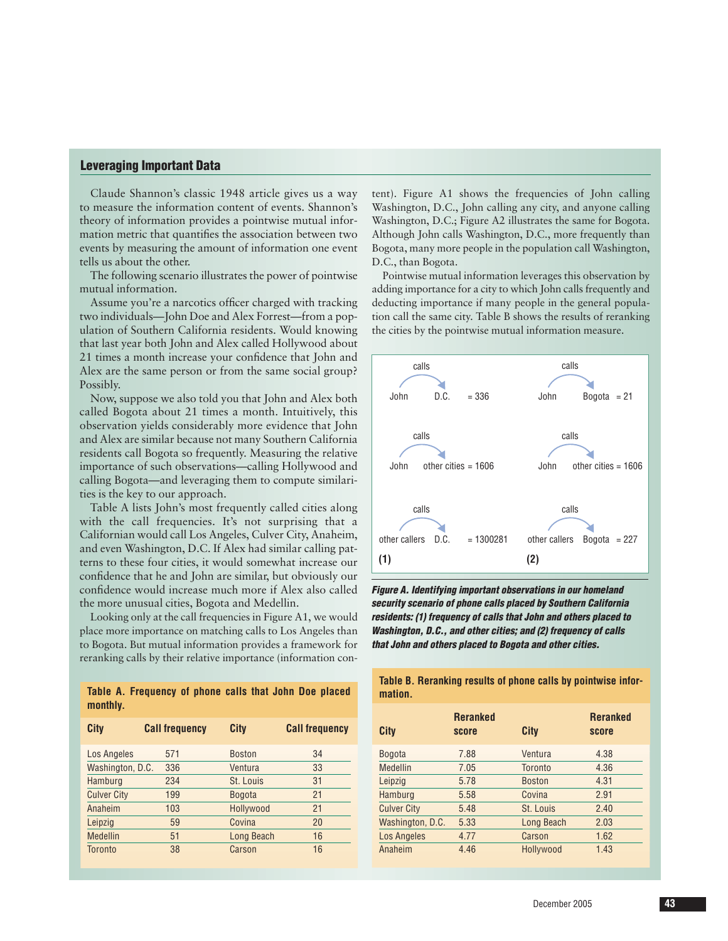#### **Leveraging Important Data**

Claude Shannon's classic 1948 article gives us a way to measure the information content of events. Shannon's theory of information provides a pointwise mutual information metric that quantifies the association between two events by measuring the amount of information one event tells us about the other.

The following scenario illustrates the power of pointwise mutual information.

Assume you're a narcotics officer charged with tracking two individuals—John Doe and Alex Forrest—from a population of Southern California residents. Would knowing that last year both John and Alex called Hollywood about 21 times a month increase your confidence that John and Alex are the same person or from the same social group? Possibly.

Now, suppose we also told you that John and Alex both called Bogota about 21 times a month. Intuitively, this observation yields considerably more evidence that John and Alex are similar because not many Southern California residents call Bogota so frequently. Measuring the relative importance of such observations—calling Hollywood and calling Bogota—and leveraging them to compute similarities is the key to our approach.

Table A lists John's most frequently called cities along with the call frequencies. It's not surprising that a Californian would call Los Angeles, Culver City, Anaheim, and even Washington, D.C. If Alex had similar calling patterns to these four cities, it would somewhat increase our confidence that he and John are similar, but obviously our confidence would increase much more if Alex also called the more unusual cities, Bogota and Medellin.

Looking only at the call frequencies in Figure A1, we would place more importance on matching calls to Los Angeles than to Bogota. But mutual information provides a framework for reranking calls by their relative importance (information con-

|          | Table A. Frequency of phone calls that John Doe placed |  |  |  |  |
|----------|--------------------------------------------------------|--|--|--|--|
| monthly. |                                                        |  |  |  |  |

| City               | <b>Call frequency</b> | City          | <b>Call frequency</b> |
|--------------------|-----------------------|---------------|-----------------------|
| Los Angeles        | 571                   | <b>Boston</b> | 34                    |
| Washington, D.C.   | 336                   | Ventura       | 33                    |
| Hamburg            | 234                   | St. Louis     | 31                    |
| <b>Culver City</b> | 199                   | <b>Bogota</b> | 21                    |
| Anaheim            | 103                   | Hollywood     | 21                    |
| Leipzig            | 59                    | Covina        | 20                    |
| <b>Medellin</b>    | 51                    | Long Beach    | 16                    |
| <b>Toronto</b>     | 38                    | Carson        | 16                    |

tent). Figure A1 shows the frequencies of John calling Washington, D.C., John calling any city, and anyone calling Washington, D.C.; Figure A2 illustrates the same for Bogota. Although John calls Washington, D.C., more frequently than Bogota, many more people in the population call Washington, D.C., than Bogota.

Pointwise mutual information leverages this observation by adding importance for a city to which John calls frequently and deducting importance if many people in the general population call the same city. Table B shows the results of reranking the cities by the pointwise mutual information measure.



**Figure A. Identifying important observations in our homeland residents: (1) frequency of calls that John and others placed to that John and others placed to Bogota and other cities.**

| mation.            |                          |                   |                          |
|--------------------|--------------------------|-------------------|--------------------------|
| City               | <b>Reranked</b><br>score | City              | <b>Reranked</b><br>score |
| <b>Bogota</b>      | 7.88                     | Ventura           | 4.38                     |
| <b>Medellin</b>    | 7.05                     | Toronto           | 4.36                     |
| Leipzig            | 5.78                     | <b>Boston</b>     | 4.31                     |
| Hamburg            | 5.58                     | Covina            | 2.91                     |
| <b>Culver City</b> | 5.48                     | St. Louis         | 2.40                     |
| Washington, D.C.   | 5.33                     | <b>Long Beach</b> | 2.03                     |
| <b>Los Angeles</b> | 4.77                     | Carson            | 1.62                     |
| Anaheim            | 4.46                     | Hollywood         | 1.43                     |

**Table B. Reranking results of phone calls by pointwise infor-**

**security scenario of phone calls placed by Southern California Washington, D.C., and other cities; and (2) frequency of calls**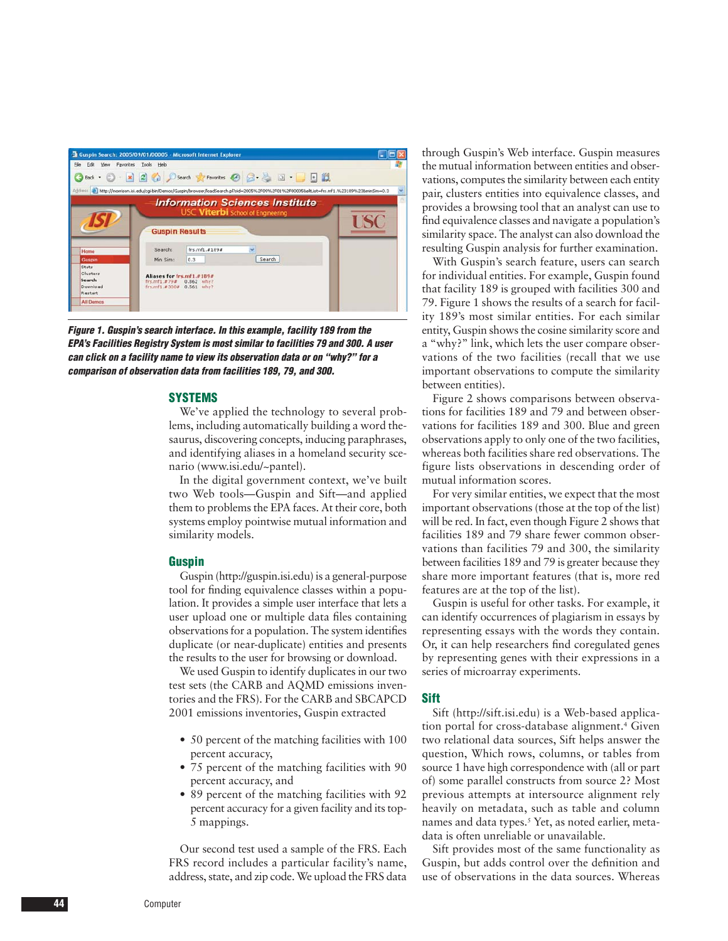

**Figure 1. Guspin's search interface. In this example, facility 189 from the EPA's Facilities Registry System is most similar to facilities 79 and 300. A user can click on a facility name to view its observation data or on "why?" for a comparison of observation data from facilities 189, 79, and 300.**

#### **SYSTEMS**

We've applied the technology to several problems, including automatically building a word thesaurus, discovering concepts, inducing paraphrases, and identifying aliases in a homeland security scenario (www.isi.edu/~pantel).

In the digital government context, we've built two Web tools—Guspin and Sift—and applied them to problems the EPA faces. At their core, both systems employ pointwise mutual information and similarity models.

#### **Guspin**

Guspin (http://guspin.isi.edu) is a general-purpose tool for finding equivalence classes within a population. It provides a simple user interface that lets a user upload one or multiple data files containing observations for a population. The system identifies duplicate (or near-duplicate) entities and presents the results to the user for browsing or download.

We used Guspin to identify duplicates in our two test sets (the CARB and AQMD emissions inventories and the FRS). For the CARB and SBCAPCD 2001 emissions inventories, Guspin extracted

- 50 percent of the matching facilities with 100 percent accuracy,
- 75 percent of the matching facilities with 90 percent accuracy, and
- 89 percent of the matching facilities with 92 percent accuracy for a given facility and its top-5 mappings.

Our second test used a sample of the FRS. Each FRS record includes a particular facility's name, address, state, and zip code. We upload the FRS data through Guspin's Web interface. Guspin measures the mutual information between entities and observations, computes the similarity between each entity pair, clusters entities into equivalence classes, and provides a browsing tool that an analyst can use to find equivalence classes and navigate a population's similarity space. The analyst can also download the resulting Guspin analysis for further examination.

With Guspin's search feature, users can search for individual entities. For example, Guspin found that facility 189 is grouped with facilities 300 and 79. Figure 1 shows the results of a search for facility 189's most similar entities. For each similar entity, Guspin shows the cosine similarity score and a "why?" link, which lets the user compare observations of the two facilities (recall that we use important observations to compute the similarity between entities).

Figure 2 shows comparisons between observations for facilities 189 and 79 and between observations for facilities 189 and 300. Blue and green observations apply to only one of the two facilities, whereas both facilities share red observations. The figure lists observations in descending order of mutual information scores.

For very similar entities, we expect that the most important observations (those at the top of the list) will be red. In fact, even though Figure 2 shows that facilities 189 and 79 share fewer common observations than facilities 79 and 300, the similarity between facilities 189 and 79 is greater because they share more important features (that is, more red features are at the top of the list).

Guspin is useful for other tasks. For example, it can identify occurrences of plagiarism in essays by representing essays with the words they contain. Or, it can help researchers find coregulated genes by representing genes with their expressions in a series of microarray experiments.

#### **Sift**

Sift (http://sift.isi.edu) is a Web-based application portal for cross-database alignment.<sup>4</sup> Given two relational data sources, Sift helps answer the question, Which rows, columns, or tables from source 1 have high correspondence with (all or part of) some parallel constructs from source 2? Most previous attempts at intersource alignment rely heavily on metadata, such as table and column names and data types.<sup>5</sup> Yet, as noted earlier, metadata is often unreliable or unavailable.

Sift provides most of the same functionality as Guspin, but adds control over the definition and use of observations in the data sources. Whereas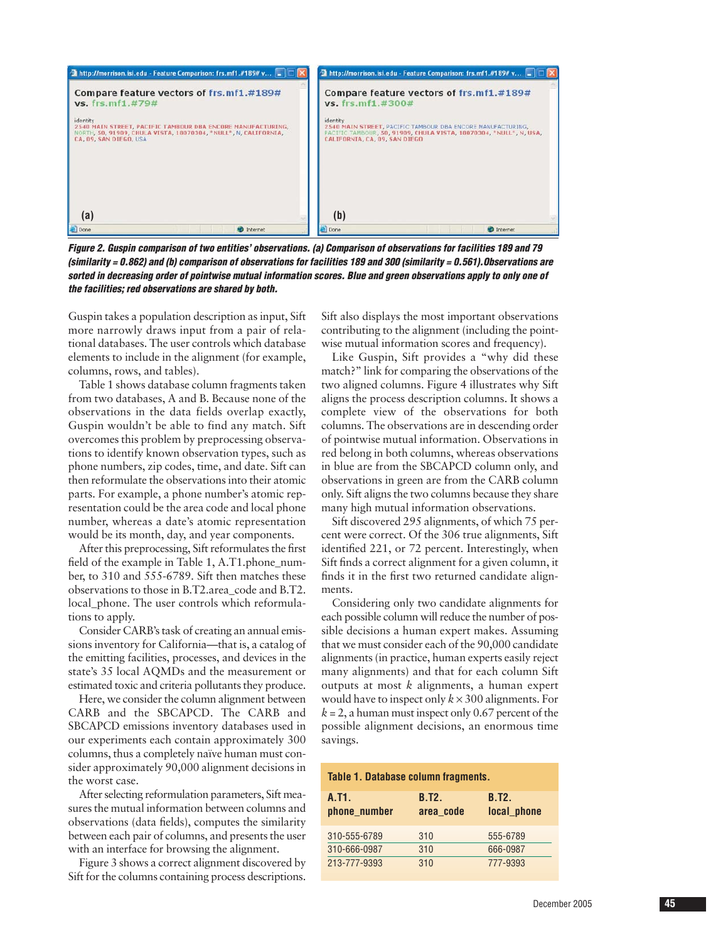

**Figure 2. Guspin comparison of two entities' observations. (a) Comparison of observations for facilities 189 and 79 (similarity = 0.862) and (b) comparison of observations for facilities 189 and 300 (similarity = 0.561).Observations are sorted in decreasing order of pointwise mutual information scores. Blue and green observations apply to only one of the facilities; red observations are shared by both.** 

Guspin takes a population description as input, Sift more narrowly draws input from a pair of relational databases. The user controls which database elements to include in the alignment (for example, columns, rows, and tables).

Table 1 shows database column fragments taken from two databases, A and B. Because none of the observations in the data fields overlap exactly, Guspin wouldn't be able to find any match. Sift overcomes this problem by preprocessing observations to identify known observation types, such as phone numbers, zip codes, time, and date. Sift can then reformulate the observations into their atomic parts. For example, a phone number's atomic representation could be the area code and local phone number, whereas a date's atomic representation would be its month, day, and year components.

After this preprocessing, Sift reformulates the first field of the example in Table 1, A.T1.phone\_number, to 310 and 555-6789. Sift then matches these observations to those in B.T2.area\_code and B.T2. local\_phone. The user controls which reformulations to apply.

Consider CARB's task of creating an annual emissions inventory for California—that is, a catalog of the emitting facilities, processes, and devices in the state's 35 local AQMDs and the measurement or estimated toxic and criteria pollutants they produce.

Here, we consider the column alignment between CARB and the SBCAPCD. The CARB and SBCAPCD emissions inventory databases used in our experiments each contain approximately 300 columns, thus a completely naïve human must consider approximately 90,000 alignment decisions in the worst case.

After selecting reformulation parameters, Sift measures the mutual information between columns and observations (data fields), computes the similarity between each pair of columns, and presents the user with an interface for browsing the alignment.

Figure 3 shows a correct alignment discovered by Sift for the columns containing process descriptions.

Sift also displays the most important observations contributing to the alignment (including the pointwise mutual information scores and frequency).

Like Guspin, Sift provides a "why did these match?" link for comparing the observations of the two aligned columns. Figure 4 illustrates why Sift aligns the process description columns. It shows a complete view of the observations for both columns. The observations are in descending order of pointwise mutual information. Observations in red belong in both columns, whereas observations in blue are from the SBCAPCD column only, and observations in green are from the CARB column only. Sift aligns the two columns because they share many high mutual information observations.

Sift discovered 295 alignments, of which 75 percent were correct. Of the 306 true alignments, Sift identified 221, or 72 percent. Interestingly, when Sift finds a correct alignment for a given column, it finds it in the first two returned candidate alignments.

Considering only two candidate alignments for each possible column will reduce the number of possible decisions a human expert makes. Assuming that we must consider each of the 90,000 candidate alignments (in practice, human experts easily reject many alignments) and that for each column Sift outputs at most *k* alignments, a human expert would have to inspect only  $k \times 300$  alignments. For  $k = 2$ , a human must inspect only 0.67 percent of the possible alignment decisions, an enormous time savings.

| Table 1. Database column fragments. |                           |                             |  |  |  |
|-------------------------------------|---------------------------|-----------------------------|--|--|--|
| A.T <sub>1</sub> .<br>phone_number  | <b>B.T2.</b><br>area code | <b>B.T2.</b><br>local_phone |  |  |  |
| 310-555-6789                        | 310                       | 555-6789                    |  |  |  |
| 310-666-0987                        | 310                       | 666-0987                    |  |  |  |
| 213-777-9393                        | 310                       | 777-9393                    |  |  |  |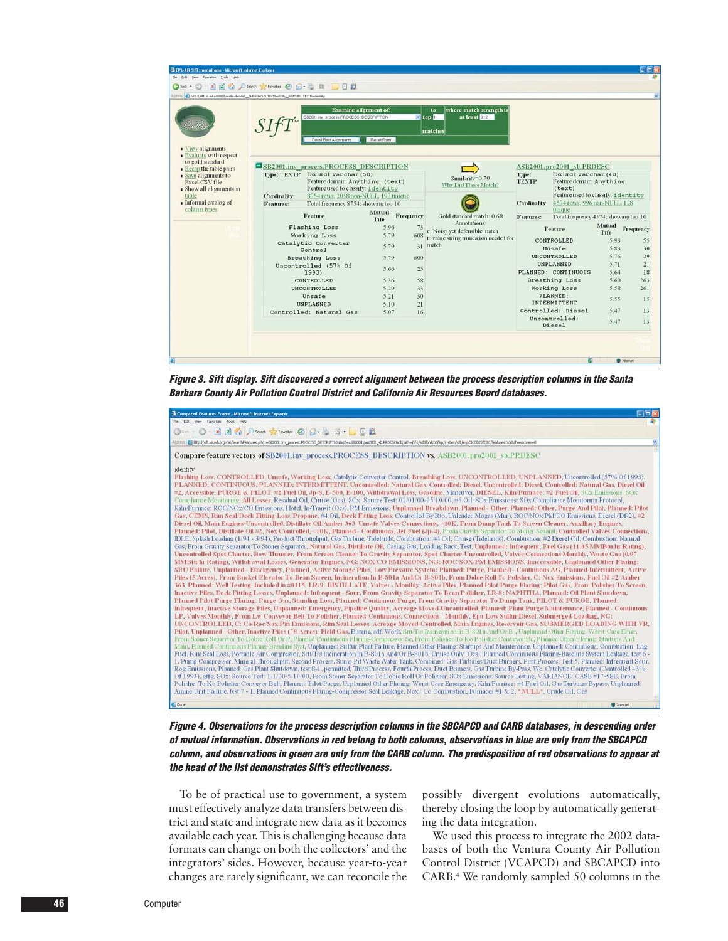

**Figure 3. Sift display. Sift discovered a correct alignment between the process description columns in the Santa Barbara County Air Pollution Control District and California Air Resources Board databases.**

| - 131<br><b>Explored Features Frame - Microsoft Internet Explorer</b>                                                                                                                                                                                                                                                                                                                                                                                                                                                                                                                                                                                                                                                                                                                                                                                                                                                                                                                                                                                                                                                                                                                                                                                                                                                                                                                                                                                                                                                                                                                                                                                                                                                                                                                                                                                                                                                                                                                                                                                                                                                                                                                                                                                                                                                                                                                                                                                                                                                                                                                                                                                                                                                                                                                                                                                                                                                                                                                                                                                                                                                                                                                                                                                                                                                                                                                                                                                                                                                                                                                                                                                                                                                                                                                                                                                                                                                                                                                                                                                                                                                                                                                                                                                                                                                                                                                                                                                                                                                                                                                                                                                                                                                                                                                                                                                               |
|---------------------------------------------------------------------------------------------------------------------------------------------------------------------------------------------------------------------------------------------------------------------------------------------------------------------------------------------------------------------------------------------------------------------------------------------------------------------------------------------------------------------------------------------------------------------------------------------------------------------------------------------------------------------------------------------------------------------------------------------------------------------------------------------------------------------------------------------------------------------------------------------------------------------------------------------------------------------------------------------------------------------------------------------------------------------------------------------------------------------------------------------------------------------------------------------------------------------------------------------------------------------------------------------------------------------------------------------------------------------------------------------------------------------------------------------------------------------------------------------------------------------------------------------------------------------------------------------------------------------------------------------------------------------------------------------------------------------------------------------------------------------------------------------------------------------------------------------------------------------------------------------------------------------------------------------------------------------------------------------------------------------------------------------------------------------------------------------------------------------------------------------------------------------------------------------------------------------------------------------------------------------------------------------------------------------------------------------------------------------------------------------------------------------------------------------------------------------------------------------------------------------------------------------------------------------------------------------------------------------------------------------------------------------------------------------------------------------------------------------------------------------------------------------------------------------------------------------------------------------------------------------------------------------------------------------------------------------------------------------------------------------------------------------------------------------------------------------------------------------------------------------------------------------------------------------------------------------------------------------------------------------------------------------------------------------------------------------------------------------------------------------------------------------------------------------------------------------------------------------------------------------------------------------------------------------------------------------------------------------------------------------------------------------------------------------------------------------------------------------------------------------------------------------------------------------------------------------------------------------------------------------------------------------------------------------------------------------------------------------------------------------------------------------------------------------------------------------------------------------------------------------------------------------------------------------------------------------------------------------------------------------------------------------------------------------------------------------------------------------------------------------------------------------------------------------------------------------------------------------------------------------------------------------------------------------------------------------------------------------------------------------------------------------------------------------------------------------------------------------------------------------------------------------------------------------------------------------------------------------|
| Ele Edit View Fgyorites Tools Help                                                                                                                                                                                                                                                                                                                                                                                                                                                                                                                                                                                                                                                                                                                                                                                                                                                                                                                                                                                                                                                                                                                                                                                                                                                                                                                                                                                                                                                                                                                                                                                                                                                                                                                                                                                                                                                                                                                                                                                                                                                                                                                                                                                                                                                                                                                                                                                                                                                                                                                                                                                                                                                                                                                                                                                                                                                                                                                                                                                                                                                                                                                                                                                                                                                                                                                                                                                                                                                                                                                                                                                                                                                                                                                                                                                                                                                                                                                                                                                                                                                                                                                                                                                                                                                                                                                                                                                                                                                                                                                                                                                                                                                                                                                                                                                                                                  |
| ○10 · ○ · ■ ■ △ P Sourch ★ Favoritos ④ ② 总 ③ · ■ □ ②                                                                                                                                                                                                                                                                                                                                                                                                                                                                                                                                                                                                                                                                                                                                                                                                                                                                                                                                                                                                                                                                                                                                                                                                                                                                                                                                                                                                                                                                                                                                                                                                                                                                                                                                                                                                                                                                                                                                                                                                                                                                                                                                                                                                                                                                                                                                                                                                                                                                                                                                                                                                                                                                                                                                                                                                                                                                                                                                                                                                                                                                                                                                                                                                                                                                                                                                                                                                                                                                                                                                                                                                                                                                                                                                                                                                                                                                                                                                                                                                                                                                                                                                                                                                                                                                                                                                                                                                                                                                                                                                                                                                                                                                                                                                                                                                                |
| Aphmi @ Ntp://sft.is.edu/cg-bir/easrd/leatures.plq1=SE0001.ivv_process.PROCESS_DESCRIPTIONsg2=ASE0001.pro2003_db.PRDESCAdbpath=/ifs/ad3/phipot/lep/sytem/sft/ao/p2CO23/CO23/CE/Features.hdrishoescores=0                                                                                                                                                                                                                                                                                                                                                                                                                                                                                                                                                                                                                                                                                                                                                                                                                                                                                                                                                                                                                                                                                                                                                                                                                                                                                                                                                                                                                                                                                                                                                                                                                                                                                                                                                                                                                                                                                                                                                                                                                                                                                                                                                                                                                                                                                                                                                                                                                                                                                                                                                                                                                                                                                                                                                                                                                                                                                                                                                                                                                                                                                                                                                                                                                                                                                                                                                                                                                                                                                                                                                                                                                                                                                                                                                                                                                                                                                                                                                                                                                                                                                                                                                                                                                                                                                                                                                                                                                                                                                                                                                                                                                                                            |
| Compare feature vectors of SB2001.inv process.PROCESS DESCRIPTION vs. ASB2001.pro2001 sb.PRDESC                                                                                                                                                                                                                                                                                                                                                                                                                                                                                                                                                                                                                                                                                                                                                                                                                                                                                                                                                                                                                                                                                                                                                                                                                                                                                                                                                                                                                                                                                                                                                                                                                                                                                                                                                                                                                                                                                                                                                                                                                                                                                                                                                                                                                                                                                                                                                                                                                                                                                                                                                                                                                                                                                                                                                                                                                                                                                                                                                                                                                                                                                                                                                                                                                                                                                                                                                                                                                                                                                                                                                                                                                                                                                                                                                                                                                                                                                                                                                                                                                                                                                                                                                                                                                                                                                                                                                                                                                                                                                                                                                                                                                                                                                                                                                                     |
| identity<br>Flashing Loss, CONTROLLED, Unsafe, Working Loss, Catalytic Converter Control, Breathing Loss, UNCONTROLLED, UNPLANNED, Uncontrolled (57% Of 1993),<br>PLANNED: CONTINUOUS, PLANNED: INTERMITTENT, Uncontrolled: Natural Gas, Controlled: Diesel, Uncontrolled: Diesel, Controlled: Natural Gas, Diesel Oil<br>#2, Accessible, PURGE & PILOT, #2 Fuel Oil, Jp-8, E-500, E-100, Withdrawal Loss, Gasoline, Mancuver, DIESEL, Kiln/Furnace: #2 Fuel Oil, SOx Emissions. SOx<br>Compliance Monitoring, All Losses, Residual Oil, Cruise (Ocs), SOx: Source Test: 01/01/00-05/10/00, #6 Oil, SOx Emissions: SOx Compliance Monitoring Protocol,<br>Kiln/Furnace: ROC/NOx/CO Emissions, Hotel, In-Transit (Ocs), PM Emissions, Unplanned Breakdown, Planned - Other, Planned: Other, Purge And Pilot, Planned: Pilot<br>Gas, CEMS, Rim Seal Deck Fitting Loss, Propane, #4 Oil, Deck Fitting Loss, Controlled By Rto, Unleaded Mogas (Mur), ROC/NOx/PM/CO Emissions, Diesel (Df-2), #2<br>Diesel Oil, Main Engines-Uncontrolled, Distillate Oil Amber 363, Unsafe Valves/Connections, ~10K, From Dump Tank To Screen Cleaner, Auxilliary Engines,<br>Planned: Pilot, Distillate Oil #2, Nox Controlled, <10K, Planned - Continuous, Jet Fuel (Jp-4), From Gravity Separator To Stoner Separat, Controlled Valves/Connections,<br>IDLE, Splash Loading (1/94 - 3/94), Product Throughput, Gas Turbine, Tidelands, Combustion: #4 Oil, Cruise (Tidelands), Combustion: #2 Diesel Oil, Combustion: Natural<br>Gas, From Gravity Separator To Stoner Separator, Natural Gas, Distillate Oil, Casing Gas, Loading Rack, Test, Umplanned: Infrequent, Fuel Gas (11.05 MMBtu/lu Rating),<br>Uncontrolled Spot Charter, Bow Thruster, From Screen Cleaner To Gravity Separator, Spot Charter-Uncontrolled, Valves Connections Monthly, Waste Gas (0.97)<br>MMBtu/hr Rating), Withdrawal Losses, Generator Engines, NG: NOX/CO EMISSIONS, NG: ROC/SOX/PM EMISSIONS, Inaccessible, Unplanned Other Flaring:<br>SRU Failure, Unplanned - Emergency, Planned, Active Storage Piles, Low Pressure System: Planned: Purge, Planned - Continuous AG, Planned-Intermittent, Active<br>Piles (5 Acres), From Bucket Elevator To Bean Screen, Incineration In B-801a And/Or B-801b, From Dobie Roll To Polisher, C: Nox Emissions, Fuel Oil #2/Amber<br>363, Planned: Well Testing, Included in #0115, LR-9: DISTILLATE, Valves - Monthly, Active Piles, Planned Pilot/Purge Flaring: Pilot Gas, From Polisher To Screen,<br>Inactive Piles, Deck Fitting Losses, Unplanned: Infrequent - Sour, From Gravity Separator To Bean Polisher, LR-8: NAPHTHA, Planned: Oil Plant Shutdown,<br>Planned Pilot Purge Flaring: Purge Gas, Standing Loss, Planned: Continuous Purge, From Gravity Separator To Dump Tank, PILOT & PURGE, Planned:<br>Infrequent, Inactive Storage Piles, Unplanned: Emergency, Pipeline Quality, Acreage Moved-Uncontrolled, Planned: Plant Purge/Maintenance, Planned - Continuous<br>LP, Valves Monthly, From Lw Convevor Belt To Polisher, Planned-Continuous, Connections - Monthly, Epa Low Sulfur Diesel, Submerged Loading, NG:<br>UNCONTROLLED, C: Co/Roc/Sox/Pm Emissions, Rim Seal Losses, Acreage Moved-Controlled, Main Engines, Reservoir Gas, SUBMERGED LOADING WITH VR.<br>Pilot, Unplanned - Other, Inactive Piles (78 Acres), Field Gas, Butane, sdf, Work, Sru Trs Incineration In B-801a And/Or B-, Unplanned Other Flaring: Worst Case Emer,<br>From Stoner Separator To Dobie Roll Or P, Planned Continuous Flaring-Compressor Se, From Polisher To Ko Polisher Conveyor Be, Planned Other Flaring: Startups And<br>Main, Planned Continuous Flaring-Baseline Syst, Unplanned: Sulfur Plant Failure, Planned Other Flaring: Startups And Maintenance, Unplanned: Continuous, Combustion: Lng<br>Fuel, Rim Seal Loss, Portable Air Compressor, Sru/Trs Incineration In B-801a And/Or B-801b, Cruise Only (Ocs), Planned Continuous Flaring-Baseline System Leakage, test 6 -<br>1, Pump Compressor, Mineral Throughput, Second Process, Sump Pit Waste Water Tank, Combined: Gas Turbines/Duct Burners, First Process, Test 5, Planned: Infrequent Sour,<br>Rog Emissions, Planned: Gas Plant Shutdown, test 8-1, permitted, Third Process, Fourth Proces, Duct Burners, Gas Turbine By-Pass, We, Catalytic Converter (Controlled 43%)<br>Of 1993), offg. SOx: Source Test: 1/1/00-5/10/00, From Stoner Separator To Dobie Roll Or Polisher, SOx Emissions: Source Testing, VARIANCE: CASE #17-98E, From<br>Polisher To Ko Polisher Conveyor Belt, Planned: Pilot/Purge, Unplanned Other Flaring: Worst Case Emergency, Kiln/Furnace: #4 Fuel Oil, Gas Turbines Bypass, Unplanned:<br>Amine Unit Failure, test 7 - 1, Planned Continuous Flaring-Compressor Seal Leakage, Nox / Co Combustion, Furnaces #1 & 2, *NULL*, Crude Oil, Ocs |
| e] Done<br><b>D</b> Internet                                                                                                                                                                                                                                                                                                                                                                                                                                                                                                                                                                                                                                                                                                                                                                                                                                                                                                                                                                                                                                                                                                                                                                                                                                                                                                                                                                                                                                                                                                                                                                                                                                                                                                                                                                                                                                                                                                                                                                                                                                                                                                                                                                                                                                                                                                                                                                                                                                                                                                                                                                                                                                                                                                                                                                                                                                                                                                                                                                                                                                                                                                                                                                                                                                                                                                                                                                                                                                                                                                                                                                                                                                                                                                                                                                                                                                                                                                                                                                                                                                                                                                                                                                                                                                                                                                                                                                                                                                                                                                                                                                                                                                                                                                                                                                                                                                        |

**Figure 4. Observations for the process description columns in the SBCAPCD and CARB databases, in descending order of mutual information. Observations in red belong to both columns, observations in blue are only from the SBCAPCD column, and observations in green are only from the CARB column. The predisposition of red observations to appear at the head of the list demonstrates Sift's effectiveness.** 

To be of practical use to government, a system must effectively analyze data transfers between district and state and integrate new data as it becomes available each year. This is challenging because data formats can change on both the collectors' and the integrators' sides. However, because year-to-year changes are rarely significant, we can reconcile the possibly divergent evolutions automatically, thereby closing the loop by automatically generating the data integration.

We used this process to integrate the 2002 databases of both the Ventura County Air Pollution Control District (VCAPCD) and SBCAPCD into CARB.4 We randomly sampled 50 columns in the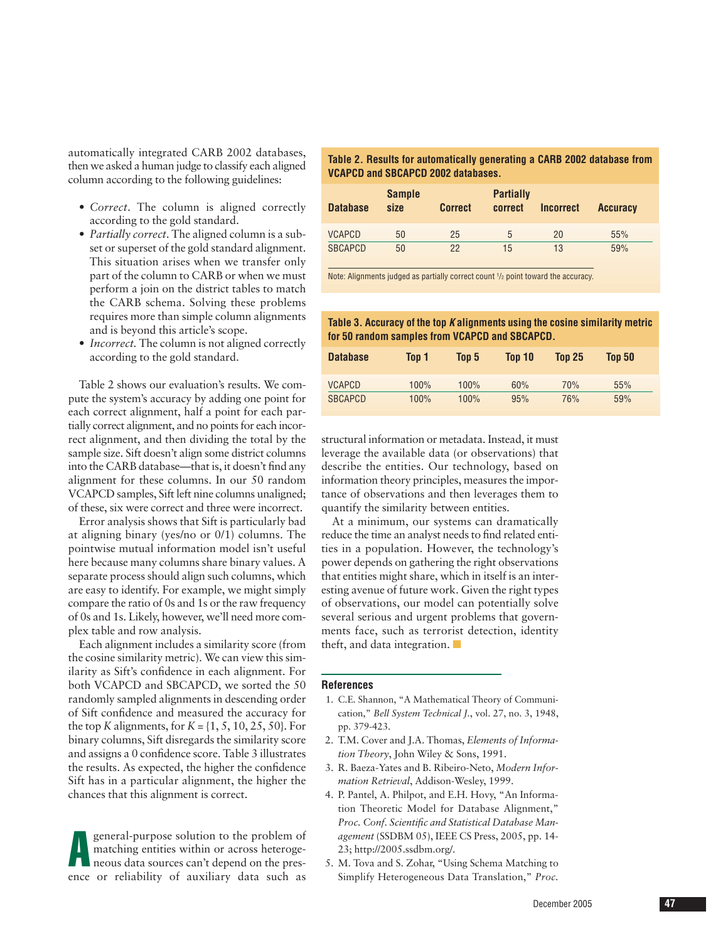automatically integrated CARB 2002 databases, then we asked a human judge to classify each aligned column according to the following guidelines:

- *Correct*. The column is aligned correctly according to the gold standard.
- *Partially correct*. The aligned column is a subset or superset of the gold standard alignment. This situation arises when we transfer only part of the column to CARB or when we must perform a join on the district tables to match the CARB schema. Solving these problems requires more than simple column alignments and is beyond this article's scope.
- *Incorrect*. The column is not aligned correctly according to the gold standard.

Table 2 shows our evaluation's results. We compute the system's accuracy by adding one point for each correct alignment, half a point for each partially correct alignment, and no points for each incorrect alignment, and then dividing the total by the sample size. Sift doesn't align some district columns into the CARB database—that is, it doesn't find any alignment for these columns. In our 50 random VCAPCD samples, Sift left nine columns unaligned; of these, six were correct and three were incorrect.

Error analysis shows that Sift is particularly bad at aligning binary (yes/no or 0/1) columns. The pointwise mutual information model isn't useful here because many columns share binary values. A separate process should align such columns, which are easy to identify. For example, we might simply compare the ratio of 0s and 1s or the raw frequency of 0s and 1s. Likely, however, we'll need more complex table and row analysis.

Each alignment includes a similarity score (from the cosine similarity metric). We can view this similarity as Sift's confidence in each alignment. For both VCAPCD and SBCAPCD, we sorted the 50 randomly sampled alignments in descending order of Sift confidence and measured the accuracy for the top *K* alignments, for  $K = \{1, 5, 10, 25, 50\}$ . For binary columns, Sift disregards the similarity score and assigns a 0 confidence score. Table 3 illustrates the results. As expected, the higher the confidence Sift has in a particular alignment, the higher the chances that this alignment is correct.

A general-purpose solution to the problem of matching entities within or across heterogeneous data sources can't depend on the presence or reliability of auxiliary data such as

| Table 2. Results for automatically generating a CARB 2002 database from |
|-------------------------------------------------------------------------|
| VCAPCD and SBCAPCD 2002 databases.                                      |

| <b>Database</b> | <b>Sample</b><br>size | <b>Correct</b> | <b>Partially</b><br>correct | <b>Incorrect</b> | <b>Accuracy</b> |  |
|-----------------|-----------------------|----------------|-----------------------------|------------------|-----------------|--|
| <b>VCAPCD</b>   | 50                    | 25             | 5                           | 20               | 55%             |  |
| <b>SBCAPCD</b>  | 50                    | 22             | 15                          | 13               | 59%             |  |

Note: Alignments judged as partially correct count 1/2 point toward the accuracy.

**Table 3. Accuracy of the top K alignments using the cosine similarity metric for 50 random samples from VCAPCD and SBCAPCD.**

| <b>Database</b> | Top 1 | Top 5 | Top 10 | <b>Top 25</b> | <b>Top 50</b> |  |
|-----------------|-------|-------|--------|---------------|---------------|--|
| <b>VCAPCD</b>   | 100%  | 100%  | 60%    | 70%           | 55%           |  |
| <b>SBCAPCD</b>  | 100%  | 100%  | 95%    | 76%           | 59%           |  |

structural information or metadata. Instead, it must leverage the available data (or observations) that describe the entities. Our technology, based on information theory principles, measures the importance of observations and then leverages them to quantify the similarity between entities.

At a minimum, our systems can dramatically reduce the time an analyst needs to find related entities in a population. However, the technology's power depends on gathering the right observations that entities might share, which in itself is an interesting avenue of future work. Given the right types of observations, our model can potentially solve several serious and urgent problems that governments face, such as terrorist detection, identity theft, and data integration. ■

#### **References**

- 1. C.E. Shannon, "A Mathematical Theory of Communication," *Bell System Technical J.*, vol. 27, no. 3, 1948, pp. 379-423.
- 2. T.M. Cover and J.A. Thomas, *Elements of Information Theory*, John Wiley & Sons, 1991.
- 3. R. Baeza-Yates and B. Ribeiro-Neto, *Modern Information Retrieval*, Addison-Wesley, 1999.
- 4. P. Pantel, A. Philpot, and E.H. Hovy, "An Information Theoretic Model for Database Alignment," *Proc. Conf. Scientific and Statistical Database Management* (SSDBM 05), IEEE CS Press, 2005, pp. 14- 23; http://2005.ssdbm.org/.
- 5. M. Tova and S. Zohar, "Using Schema Matching to Simplify Heterogeneous Data Translation," *Proc.*